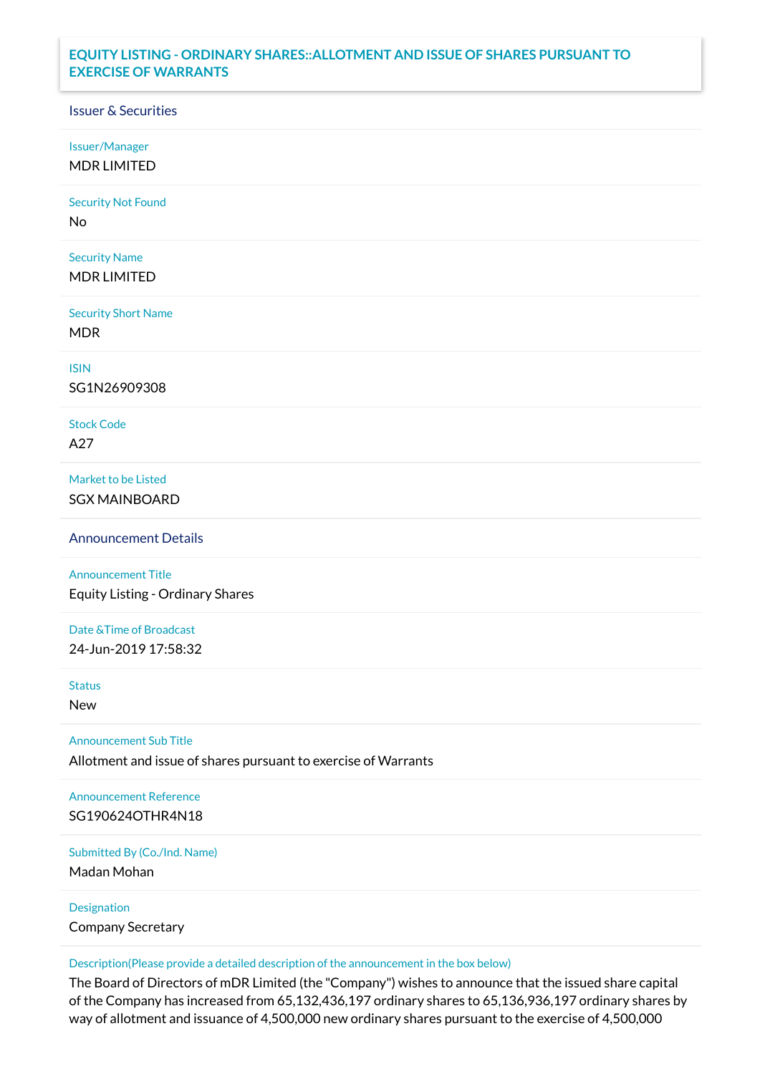## **EQUITY LISTING - ORDINARY SHARES::ALLOTMENT AND ISSUE OF SHARES PURSUANT TO EXERCISE OF WARRANTS**

## Issuer & Securities

Issuer/Manager

MDR LIMITED

Security Not Found

No

Security Name MDR LIMITED

Security Short Name MDR

ISIN

SG1N26909308

Stock Code A27

Market to be Listed SGX MAINBOARD

Announcement Details

Announcement Title Equity Listing - Ordinary Shares

Date &Time of Broadcast 24-Jun-2019 17:58:32

Status

New

Announcement Sub Title

Allotment and issue of shares pursuant to exercise of Warrants

Announcement Reference SG190624OTHR4N18

Submitted By (Co./Ind. Name)

Madan Mohan

Designation Company Secretary

Description(Please provide a detailed description of the announcement in the box below)

The Board of Directors of mDR Limited (the "Company") wishes to announce that the issued share capital of the Company has increased from 65,132,436,197 ordinary shares to 65,136,936,197 ordinary shares by way of allotment and issuance of 4,500,000 new ordinary shares pursuant to the exercise of 4,500,000